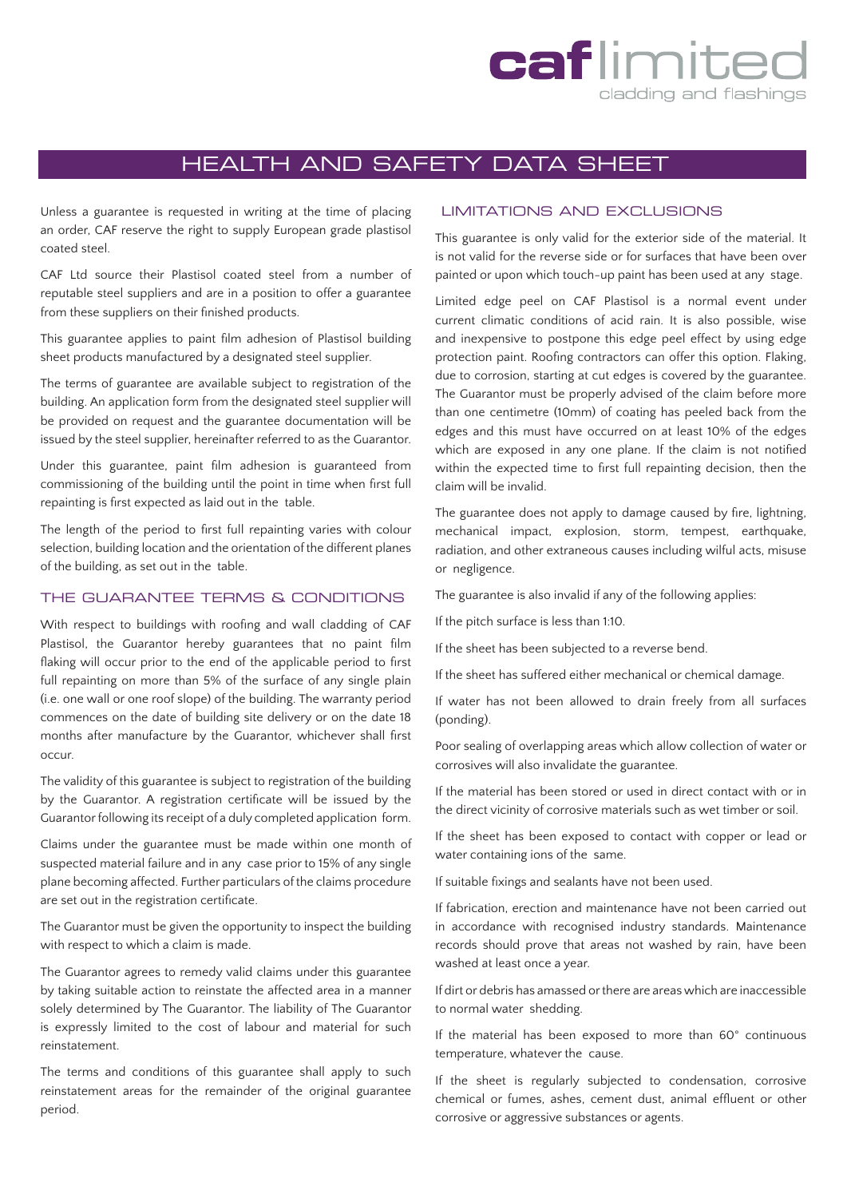## caflimite cladding and flashings

## HEALTH AND SAFETY DATA SHEET

Unless a guarantee is requested in writing at the time of placing an order, CAF reserve the right to supply European grade plastisol coated steel.

CAF Ltd source their Plastisol coated steel from a number of reputable steel suppliers and are in a position to offer a guarantee from these suppliers on their finished products.

This guarantee applies to paint film adhesion of Plastisol building sheet products manufactured by a designated steel supplier.

The terms of guarantee are available subject to registration of the building. An application form from the designated steel supplier will be provided on request and the guarantee documentation will be issued by the steel supplier, hereinafter referred to as the Guarantor.

Under this guarantee, paint film adhesion is guaranteed from commissioning of the building until the point in time when first full repainting is first expected as laid out in the table.

The length of the period to first full repainting varies with colour selection, building location and the orientation of the different planes of the building, as set out in the table.

## THE GUARANTEE TERMS & CONDITIONS

With respect to buildings with roofing and wall cladding of CAF Plastisol, the Guarantor hereby guarantees that no paint film flaking will occur prior to the end of the applicable period to first full repainting on more than 5% of the surface of any single plain (i.e. one wall or one roof slope) of the building. The warranty period commences on the date of building site delivery or on the date 18 months after manufacture by the Guarantor, whichever shall first occur.

The validity of this guarantee is subject to registration of the building by the Guarantor. A registration certificate will be issued by the Guarantor following its receipt of a duly completed application form.

Claims under the guarantee must be made within one month of suspected material failure and in any case prior to 15% of any single plane becoming affected. Further particulars of the claims procedure are set out in the registration certificate.

The Guarantor must be given the opportunity to inspect the building with respect to which a claim is made.

The Guarantor agrees to remedy valid claims under this guarantee by taking suitable action to reinstate the affected area in a manner solely determined by The Guarantor. The liability of The Guarantor is expressly limited to the cost of labour and material for such reinstatement.

The terms and conditions of this guarantee shall apply to such reinstatement areas for the remainder of the original guarantee period.

## LIMITATIONS AND EXCLUSIONS

This guarantee is only valid for the exterior side of the material. It is not valid for the reverse side or for surfaces that have been over painted or upon which touch-up paint has been used at any stage.

Limited edge peel on CAF Plastisol is a normal event under current climatic conditions of acid rain. It is also possible, wise and inexpensive to postpone this edge peel effect by using edge protection paint. Roofing contractors can offer this option. Flaking, due to corrosion, starting at cut edges is covered by the guarantee. The Guarantor must be properly advised of the claim before more than one centimetre (10mm) of coating has peeled back from the edges and this must have occurred on at least 10% of the edges which are exposed in any one plane. If the claim is not notified within the expected time to first full repainting decision, then the claim will be invalid.

The guarantee does not apply to damage caused by fire, lightning, mechanical impact, explosion, storm, tempest, earthquake, radiation, and other extraneous causes including wilful acts, misuse or negligence.

The guarantee is also invalid if any of the following applies:

If the pitch surface is less than 1:10.

If the sheet has been subjected to a reverse bend.

If the sheet has suffered either mechanical or chemical damage.

If water has not been allowed to drain freely from all surfaces (ponding).

Poor sealing of overlapping areas which allow collection of water or corrosives will also invalidate the guarantee.

If the material has been stored or used in direct contact with or in the direct vicinity of corrosive materials such as wet timber or soil.

If the sheet has been exposed to contact with copper or lead or water containing ions of the same.

If suitable fixings and sealants have not been used.

If fabrication, erection and maintenance have not been carried out in accordance with recognised industry standards. Maintenance records should prove that areas not washed by rain, have been washed at least once a year.

If dirt or debris has amassed or there are areas which are inaccessible to normal water shedding.

If the material has been exposed to more than 60° continuous temperature, whatever the cause.

If the sheet is regularly subjected to condensation, corrosive chemical or fumes, ashes, cement dust, animal effluent or other corrosive or aggressive substances or agents.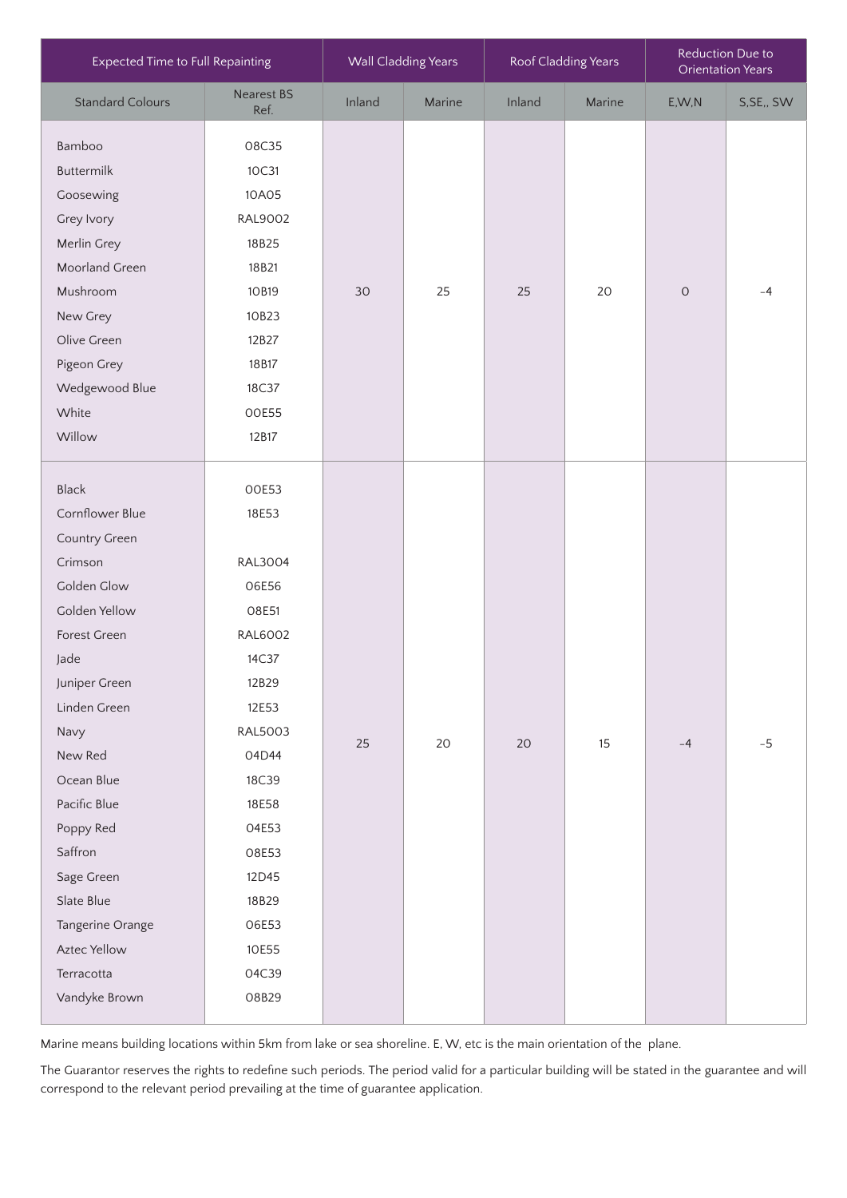| Expected Time to Full Repainting                                                                                                                                                                                                                                                                                             |                                                                                                                                                                                                                      | <b>Wall Cladding Years</b> |        | Roof Cladding Years |        | Reduction Due to<br><b>Orientation Years</b> |            |
|------------------------------------------------------------------------------------------------------------------------------------------------------------------------------------------------------------------------------------------------------------------------------------------------------------------------------|----------------------------------------------------------------------------------------------------------------------------------------------------------------------------------------------------------------------|----------------------------|--------|---------------------|--------|----------------------------------------------|------------|
| <b>Standard Colours</b>                                                                                                                                                                                                                                                                                                      | <b>Nearest BS</b><br>Ref.                                                                                                                                                                                            | Inland                     | Marine | Inland              | Marine | E, W, N                                      | S, SE,, SW |
| Bamboo<br><b>Buttermilk</b><br>Goosewing<br>Grey Ivory<br>Merlin Grey<br>Moorland Green<br>Mushroom<br>New Grey<br>Olive Green<br>Pigeon Grey<br>Wedgewood Blue<br>White<br>Willow                                                                                                                                           | 08C35<br>10C31<br>10A05<br><b>RAL9002</b><br>18B25<br>18B21<br>10B19<br>10B23<br>12B27<br>18B17<br>18C37<br>00E55<br>12B17                                                                                           | 30                         | 25     | 25                  | 20     | $\circ$                                      | $-4$       |
| <b>Black</b><br>Cornflower Blue<br>Country Green<br>Crimson<br>Golden Glow<br>Golden Yellow<br>Forest Green<br>Jade<br>Juniper Green<br>Linden Green<br>Navy<br>New Red<br>Ocean Blue<br>Pacific Blue<br>Poppy Red<br>Saffron<br>Sage Green<br>Slate Blue<br>Tangerine Orange<br>Aztec Yellow<br>Terracotta<br>Vandyke Brown | 00E53<br>18E53<br><b>RAL3004</b><br>06E56<br>O8E51<br><b>RAL6002</b><br>14C37<br>12B29<br>12E53<br><b>RAL5003</b><br>04D44<br>18C39<br>18E58<br>04E53<br>08E53<br>12D45<br>18B29<br>06E53<br>10E55<br>04C39<br>O8B29 | 25                         | 20     | 20                  | 15     | $-4$                                         | $-5$       |

Marine means building locations within 5km from lake or sea shoreline. E, W, etc is the main orientation of the plane.

The Guarantor reserves the rights to redefine such periods. The period valid for a particular building will be stated in the guarantee and will correspond to the relevant period prevailing at the time of guarantee application.